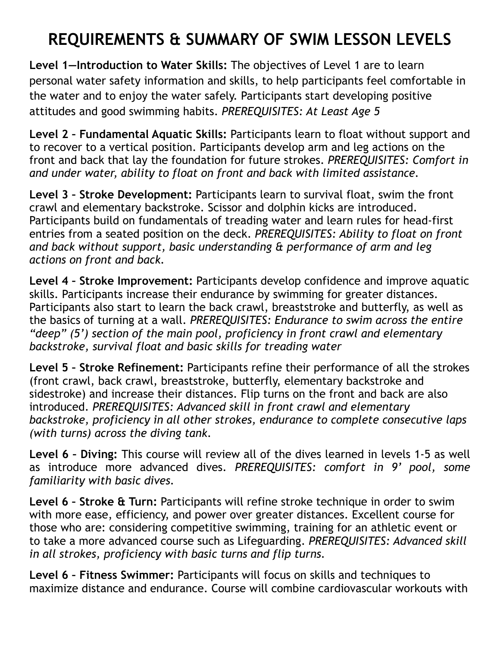## **REQUIREMENTS & SUMMARY OF SWIM LESSON LEVELS**

**Level 1—Introduction to Water Skills:** The objectives of Level 1 are to learn personal water safety information and skills, to help participants feel comfortable in the water and to enjoy the water safely. Participants start developing positive attitudes and good swimming habits. *PREREQUISITES: At Least Age 5*

**Level 2 – Fundamental Aquatic Skills:** Participants learn to float without support and to recover to a vertical position. Participants develop arm and leg actions on the front and back that lay the foundation for future strokes. *PREREQUISITES: Comfort in and under water, ability to float on front and back with limited assistance.*

**Level 3 – Stroke Development:** Participants learn to survival float, swim the front crawl and elementary backstroke. Scissor and dolphin kicks are introduced. Participants build on fundamentals of treading water and learn rules for head-first entries from a seated position on the deck. *PREREQUISITES: Ability to float on front and back without support, basic understanding & performance of arm and leg actions on front and back.* 

**Level 4 – Stroke Improvement:** Participants develop confidence and improve aquatic skills. Participants increase their endurance by swimming for greater distances. Participants also start to learn the back crawl, breaststroke and butterfly, as well as the basics of turning at a wall. *PREREQUISITES: Endurance to swim across the entire "deep" (5') section of the main pool, proficiency in front crawl and elementary backstroke, survival float and basic skills for treading water* 

**Level 5 – Stroke Refinement:** Participants refine their performance of all the strokes (front crawl, back crawl, breaststroke, butterfly, elementary backstroke and sidestroke) and increase their distances. Flip turns on the front and back are also introduced. *PREREQUISITES: Advanced skill in front crawl and elementary backstroke, proficiency in all other strokes, endurance to complete consecutive laps (with turns) across the diving tank.* 

**Level 6 – Diving:** This course will review all of the dives learned in levels 1-5 as well as introduce more advanced dives. *PREREQUISITES: comfort in 9' pool, some familiarity with basic dives.* 

**Level 6 – Stroke & Turn:** Participants will refine stroke technique in order to swim with more ease, efficiency, and power over greater distances. Excellent course for those who are: considering competitive swimming, training for an athletic event or to take a more advanced course such as Lifeguarding. *PREREQUISITES: Advanced skill in all strokes, proficiency with basic turns and flip turns.* 

**Level 6 – Fitness Swimmer:** Participants will focus on skills and techniques to maximize distance and endurance. Course will combine cardiovascular workouts with